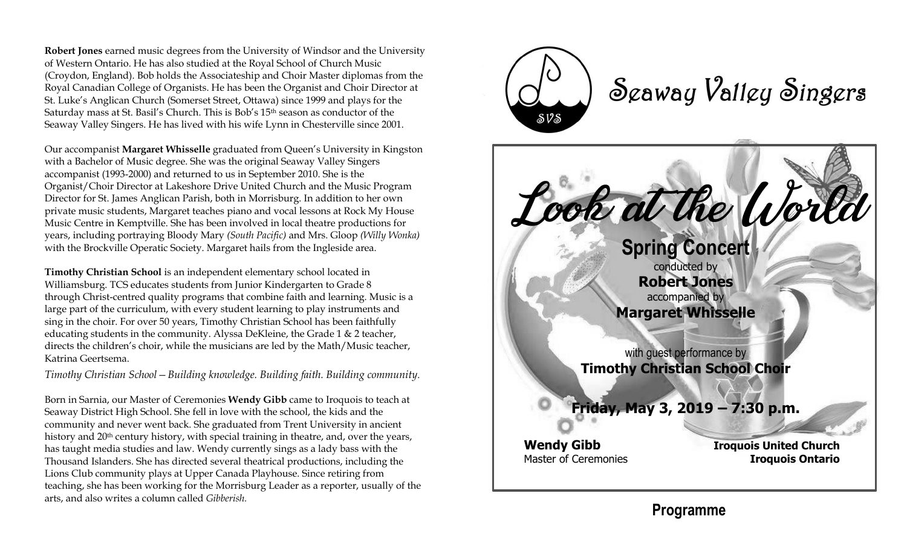**Robert Jones** earned music degrees from the University of Windsor and the University of Western Ontario. He has also studied at the Royal School of Church Music (Croydon, England). Bob holds the Associateship and Choir Master diplomas from the Royal Canadian College of Organists. He has been the Organist and Choir Director at St. Luke's Anglican Church (Somerset Street, Ottawa) since 1999 and plays for the Saturday mass at St. Basil's Church. This is Bob's 15th season as conductor of the Seaway Valley Singers. He has lived with his wife Lynn in Chesterville since 2001.

Our accompanist **Margaret Whisselle** graduated from Queen's University in Kingston with a Bachelor of Music degree. She was the original Seaway Valley Singers accompanist (1993-2000) and returned to us in September 2010. She is the Organist/Choir Director at Lakeshore Drive United Church and the Music Program Director for St. James Anglican Parish, both in Morrisburg. In addition to her own private music students, Margaret teaches piano and vocal lessons at Rock My House Music Centre in Kemptville. She has been involved in local theatre productions for years, including portraying Bloody Mary *(South Pacific)* and Mrs. Gloop *(Willy Wonka)* with the Brockville Operatic Society. Margaret hails from the Ingleside area.

**Timothy Christian School** is an independent elementary school located in Williamsburg. TCS educates students from Junior Kindergarten to Grade 8 through Christ-centred quality programs that combine faith and learning. Music is a large part of the curriculum, with every student learning to play instruments and sing in the choir. For over 50 years, Timothy Christian School has been faithfully educating students in the community. Alyssa DeKleine, the Grade 1 & 2 teacher, directs the children's choir, while the musicians are led by the Math/Music teacher, Katrina Geertsema.

*Timothy Christian School—Building knowledge. Building faith. Building community*.

Born in Sarnia, our Master of Ceremonies **Wendy Gibb** came to Iroquois to teach at Seaway District High School. She fell in love with the school, the kids and the community and never went back. She graduated from Trent University in ancient history and 20<sup>th</sup> century history, with special training in theatre, and, over the years, has taught media studies and law. Wendy currently sings as a lady bass with the Thousand Islanders. She has directed several theatrical productions, including the Lions Club community plays at Upper Canada Playhouse. Since retiring from teaching, she has been working for the Morrisburg Leader as a reporter, usually of the arts, and also writes a column called *Gibberish.*



Seaway Valley Singers



**Programme**